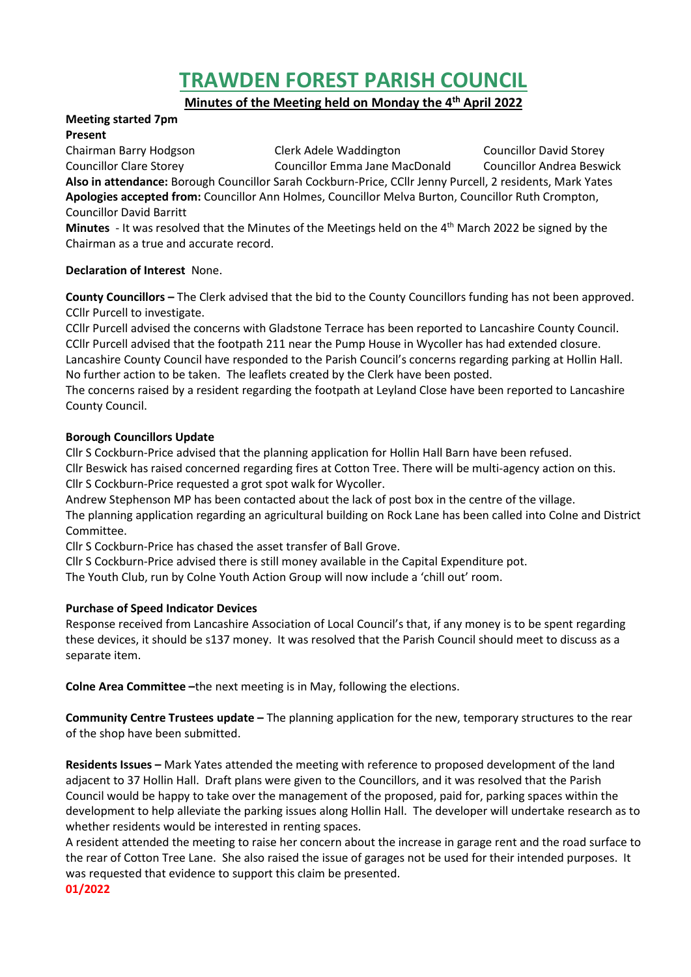# **TRAWDEN FOREST PARISH COUNCIL**

**Minutes of the Meeting held on Monday the 4 th April 2022**

#### **Meeting started 7pm Present**

Chairman Barry Hodgson Clerk Adele Waddington Councillor David Storey Councillor Clare Storey Councillor Emma Jane MacDonald Councillor Andrea Beswick **Also in attendance:** Borough Councillor Sarah Cockburn-Price, CCllr Jenny Purcell, 2 residents, Mark Yates **Apologies accepted from:** Councillor Ann Holmes, Councillor Melva Burton, Councillor Ruth Crompton, Councillor David Barritt

Minutes - It was resolved that the Minutes of the Meetings held on the 4<sup>th</sup> March 2022 be signed by the Chairman as a true and accurate record.

# **Declaration of Interest** None.

**County Councillors –** The Clerk advised that the bid to the County Councillors funding has not been approved. CCllr Purcell to investigate.

CCllr Purcell advised the concerns with Gladstone Terrace has been reported to Lancashire County Council. CCllr Purcell advised that the footpath 211 near the Pump House in Wycoller has had extended closure. Lancashire County Council have responded to the Parish Council's concerns regarding parking at Hollin Hall. No further action to be taken. The leaflets created by the Clerk have been posted.

The concerns raised by a resident regarding the footpath at Leyland Close have been reported to Lancashire County Council.

# **Borough Councillors Update**

Cllr S Cockburn-Price advised that the planning application for Hollin Hall Barn have been refused.

Cllr Beswick has raised concerned regarding fires at Cotton Tree. There will be multi-agency action on this. Cllr S Cockburn-Price requested a grot spot walk for Wycoller.

Andrew Stephenson MP has been contacted about the lack of post box in the centre of the village.

The planning application regarding an agricultural building on Rock Lane has been called into Colne and District Committee.

Cllr S Cockburn-Price has chased the asset transfer of Ball Grove.

Cllr S Cockburn-Price advised there is still money available in the Capital Expenditure pot.

The Youth Club, run by Colne Youth Action Group will now include a 'chill out' room.

# **Purchase of Speed Indicator Devices**

Response received from Lancashire Association of Local Council's that, if any money is to be spent regarding these devices, it should be s137 money. It was resolved that the Parish Council should meet to discuss as a separate item.

**Colne Area Committee –**the next meeting is in May, following the elections.

**Community Centre Trustees update –** The planning application for the new, temporary structures to the rear of the shop have been submitted.

**Residents Issues –** Mark Yates attended the meeting with reference to proposed development of the land adjacent to 37 Hollin Hall. Draft plans were given to the Councillors, and it was resolved that the Parish Council would be happy to take over the management of the proposed, paid for, parking spaces within the development to help alleviate the parking issues along Hollin Hall. The developer will undertake research as to whether residents would be interested in renting spaces.

A resident attended the meeting to raise her concern about the increase in garage rent and the road surface to the rear of Cotton Tree Lane. She also raised the issue of garages not be used for their intended purposes. It was requested that evidence to support this claim be presented. **01/2022**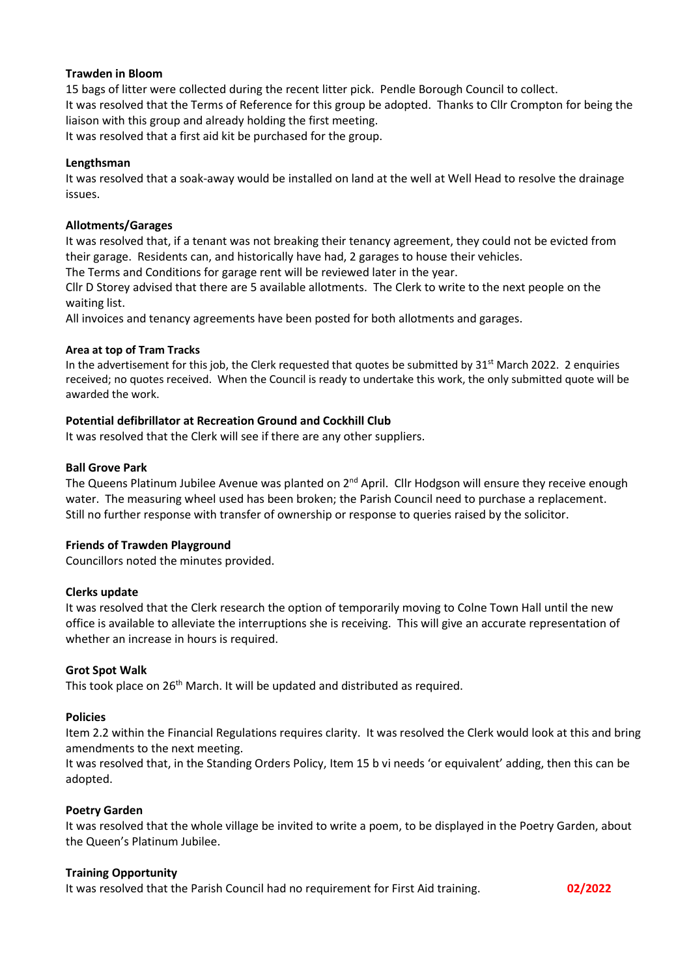#### **Trawden in Bloom**

15 bags of litter were collected during the recent litter pick. Pendle Borough Council to collect. It was resolved that the Terms of Reference for this group be adopted. Thanks to Cllr Crompton for being the liaison with this group and already holding the first meeting. It was resolved that a first aid kit be purchased for the group.

# **Lengthsman**

It was resolved that a soak-away would be installed on land at the well at Well Head to resolve the drainage issues.

#### **Allotments/Garages**

It was resolved that, if a tenant was not breaking their tenancy agreement, they could not be evicted from their garage. Residents can, and historically have had, 2 garages to house their vehicles.

The Terms and Conditions for garage rent will be reviewed later in the year.

Cllr D Storey advised that there are 5 available allotments. The Clerk to write to the next people on the waiting list.

All invoices and tenancy agreements have been posted for both allotments and garages.

#### **Area at top of Tram Tracks**

In the advertisement for this job, the Clerk requested that quotes be submitted by  $31<sup>st</sup>$  March 2022. 2 enquiries received; no quotes received. When the Council is ready to undertake this work, the only submitted quote will be awarded the work.

# **Potential defibrillator at Recreation Ground and Cockhill Club**

It was resolved that the Clerk will see if there are any other suppliers.

#### **Ball Grove Park**

The Queens Platinum Jubilee Avenue was planted on  $2^{nd}$  April. Cllr Hodgson will ensure they receive enough water. The measuring wheel used has been broken; the Parish Council need to purchase a replacement. Still no further response with transfer of ownership or response to queries raised by the solicitor.

# **Friends of Trawden Playground**

Councillors noted the minutes provided.

#### **Clerks update**

It was resolved that the Clerk research the option of temporarily moving to Colne Town Hall until the new office is available to alleviate the interruptions she is receiving. This will give an accurate representation of whether an increase in hours is required.

#### **Grot Spot Walk**

This took place on 26<sup>th</sup> March. It will be updated and distributed as required.

#### **Policies**

Item 2.2 within the Financial Regulations requires clarity. It was resolved the Clerk would look at this and bring amendments to the next meeting.

It was resolved that, in the Standing Orders Policy, Item 15 b vi needs 'or equivalent' adding, then this can be adopted.

# **Poetry Garden**

It was resolved that the whole village be invited to write a poem, to be displayed in the Poetry Garden, about the Queen's Platinum Jubilee.

#### **Training Opportunity**

It was resolved that the Parish Council had no requirement for First Aid training. **02/2022**